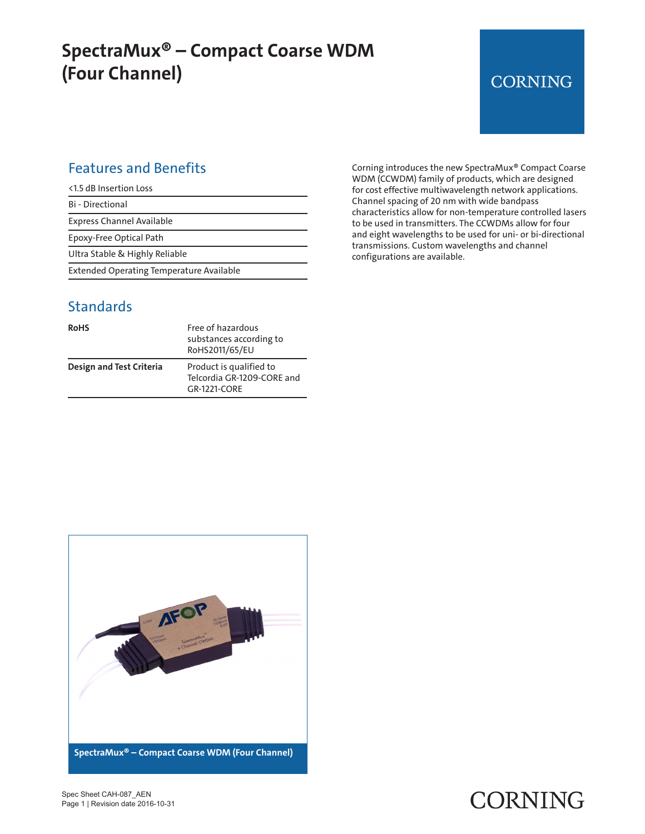## **SpectraMux® – Compact Coarse WDM (Four Channel)**

## **CORNING**

#### Features and Benefits

|  | <1.5 dB Insertion Loss |  |
|--|------------------------|--|
|--|------------------------|--|

Bi - Directional

Express Channel Available

Epoxy-Free Optical Path

Ultra Stable & Highly Reliable

Extended Operating Temperature Available

#### **Standards**

| <b>RoHS</b>              | Free of hazardous<br>substances according to<br>RoHS2011/65/EU        |
|--------------------------|-----------------------------------------------------------------------|
| Design and Test Criteria | Product is qualified to<br>Telcordia GR-1209-CORE and<br>GR-1221-CORF |

Corning introduces the new SpectraMux® Compact Coarse WDM (CCWDM) family of products, which are designed for cost effective multiwavelength network applications. Channel spacing of 20 nm with wide bandpass characteristics allow for non-temperature controlled lasers to be used in transmitters. The CCWDMs allow for four and eight wavelengths to be used for uni- or bi-directional transmissions. Custom wavelengths and channel configurations are available.



#### Spec Sheet CAH-087\_AEN Page 1 | Revision date 2016-10-31

# CORNING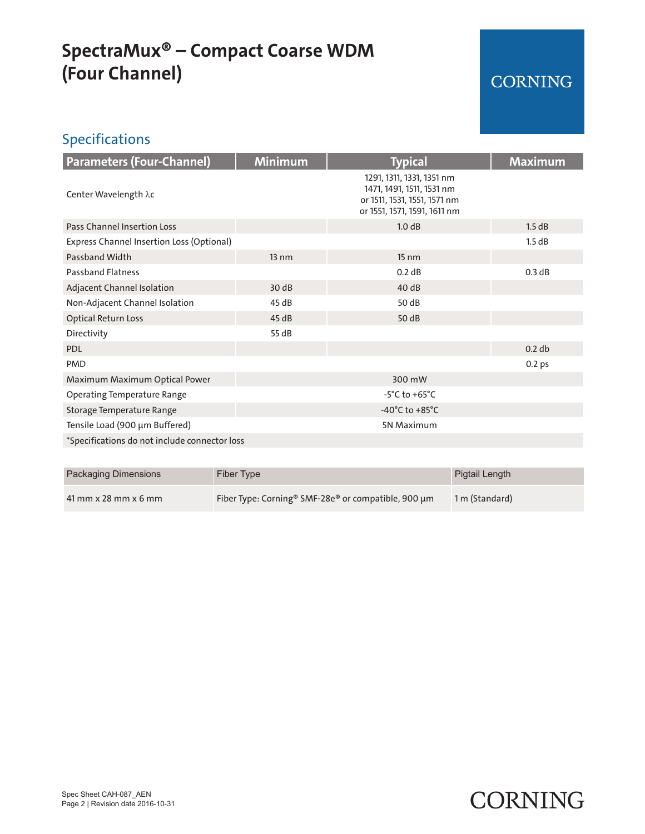## **SpectraMux® – Compact Coarse WDM (Four Channel)**

## CORNING

### Specifications

| <b>Parameters (Four-Channel)</b>              | <b>Minimum</b>  | <b>Typical</b>                                                                                                         | <b>Maximum</b>    |
|-----------------------------------------------|-----------------|------------------------------------------------------------------------------------------------------------------------|-------------------|
| Center Wavelength λc                          |                 | 1291, 1311, 1331, 1351 nm<br>1471, 1491, 1511, 1531 nm<br>or 1511, 1531, 1551, 1571 nm<br>or 1551, 1571, 1591, 1611 nm |                   |
| <b>Pass Channel Insertion Loss</b>            |                 | 1.0 dB                                                                                                                 | 1.5 dB            |
| Express Channel Insertion Loss (Optional)     |                 |                                                                                                                        | 1.5 dB            |
| Passband Width                                | $13 \text{ nm}$ | $15 \text{ nm}$                                                                                                        |                   |
| <b>Passband Flatness</b>                      |                 | 0.2 dB                                                                                                                 | 0.3 dB            |
| Adjacent Channel Isolation                    | 30dB            | 40 dB                                                                                                                  |                   |
| Non-Adjacent Channel Isolation                | 45 dB           | 50 dB                                                                                                                  |                   |
| <b>Optical Return Loss</b>                    | 45dB            | 50 dB                                                                                                                  |                   |
| Directivity                                   | 55 dB           |                                                                                                                        |                   |
| <b>PDL</b>                                    |                 |                                                                                                                        | 0.2 db            |
| <b>PMD</b>                                    |                 |                                                                                                                        | 0.2 <sub>ps</sub> |
| Maximum Maximum Optical Power                 |                 | 300 mW                                                                                                                 |                   |
| <b>Operating Temperature Range</b>            |                 | $-5^{\circ}$ C to $+65^{\circ}$ C                                                                                      |                   |
| Storage Temperature Range                     |                 | $-40^{\circ}$ C to $+85^{\circ}$ C                                                                                     |                   |
| Tensile Load (900 µm Buffered)                |                 | 5N Maximum                                                                                                             |                   |
| *Specifications do not include connector loss |                 |                                                                                                                        |                   |

| <b>Packaging Dimensions</b> | Fiber Type                                                      | Pigtail Length |
|-----------------------------|-----------------------------------------------------------------|----------------|
| $41$ mm x 28 mm x 6 mm      | Fiber Type: Corning <sup>®</sup> SMF-28e® or compatible, 900 µm | 1 m (Standard) |